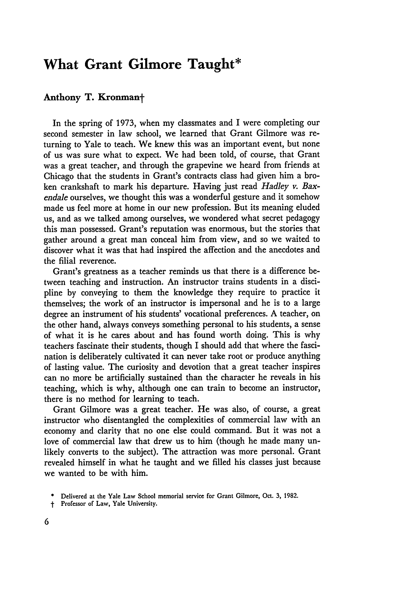## **What Grant Gilmore Taught\***

## **Anthony T. Kronmant**

In the spring of 1973, when my classmates and I were completing our second semester in law school, we learned that Grant Gilmore was returning to Yale to teach. We knew this was an important event, but none of us was sure what to expect. We had been told, of course, that Grant was a great teacher, and through the grapevine we heard from friends at Chicago that the students in Grant's contracts class had given him a broken crankshaft to mark his departure. Having just read *Hadley v. Baxendale* ourselves, we thought this was a wonderful gesture and it somehow made us feel more at home in our new profession. But its meaning eluded us, and as we talked among ourselves, we wondered what secret pedagogy this man possessed. Grant's reputation was enormous, but the stories that gather around a great man conceal him from view, and so we waited to discover what it was that had inspired the affection and the anecdotes and the filial reverence.

Grant's greatness as a teacher reminds us that there is a difference between teaching and instruction. An instructor trains students in a discipline **by** conveying to them the knowledge they require to practice it themselves; the work of an instructor is impersonal and he is to a large degree an instrument of his students' vocational preferences. A teacher, on the other hand, always conveys something personal to his students, a sense of what it is he cares about and has found worth doing. This is why teachers fascinate their students, though I should add that where the fascination is deliberately cultivated it can never take root or produce anything of lasting value. The curiosity and devotion that a great teacher inspires can no more be artificially sustained than the character he reveals in his teaching, which is why, although one can train to become an instructor, there is no method for learning to teach.

Grant Gilmore was a great teacher. He was also, of course, a great instructor who disentangled the complexities of commercial law with an economy and clarity that no one else could command. But it was not a love of commercial law that drew us to him (though he made many unlikely converts to the subject). The attraction was more personal. Grant revealed himself in what he taught and we filled his classes just because we wanted to be with him.

**<sup>\*</sup>** Delivered at the Yale Law School memorial service for Grant Gilmore, Oct. **3, 1982.**

Professor of Law, Yale University.